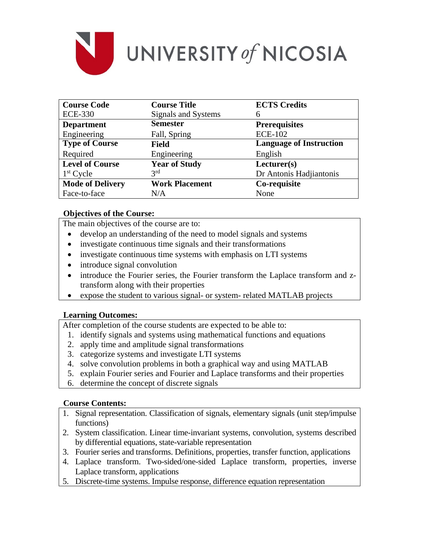

| <b>Course Code</b>      | <b>Course Title</b>   | <b>ECTS Credits</b>            |
|-------------------------|-----------------------|--------------------------------|
| <b>ECE-330</b>          | Signals and Systems   | 6                              |
| <b>Department</b>       | <b>Semester</b>       | <b>Prerequisites</b>           |
| Engineering             | Fall, Spring          | <b>ECE-102</b>                 |
| <b>Type of Course</b>   | <b>Field</b>          | <b>Language of Instruction</b> |
| Required                | Engineering           | English                        |
| <b>Level of Course</b>  | <b>Year of Study</b>  | Lecturer(s)                    |
| $1st$ Cycle             | 3 <sup>rd</sup>       | Dr Antonis Hadjiantonis        |
| <b>Mode of Delivery</b> | <b>Work Placement</b> | Co-requisite                   |
| Face-to-face            | N/A                   | None                           |

## **Objectives of the Course:**

The main objectives of the course are to:

- develop an understanding of the need to model signals and systems
- investigate continuous time signals and their transformations
- investigate continuous time systems with emphasis on LTI systems
- introduce signal convolution
- introduce the Fourier series, the Fourier transform the Laplace transform and ztransform along with their properties
- expose the student to various signal- or system- related MATLAB projects

### **Learning Outcomes:**

After completion of the course students are expected to be able to:

- 1. identify signals and systems using mathematical functions and equations
- 2. apply time and amplitude signal transformations
- 3. categorize systems and investigate LTI systems
- 4. solve convolution problems in both a graphical way and using MATLAB
- 5. explain Fourier series and Fourier and Laplace transforms and their properties
- 6. determine the concept of discrete signals

## **Course Contents:**

- 1. Signal representation. Classification of signals, elementary signals (unit step/impulse functions)
- 2. System classification. Linear time-invariant systems, convolution, systems described by differential equations, state-variable representation
- 3. Fourier series and transforms. Definitions, properties, transfer function, applications
- 4. Laplace transform. Two-sided/one-sided Laplace transform, properties, inverse Laplace transform, applications
- 5. Discrete-time systems. Impulse response, difference equation representation